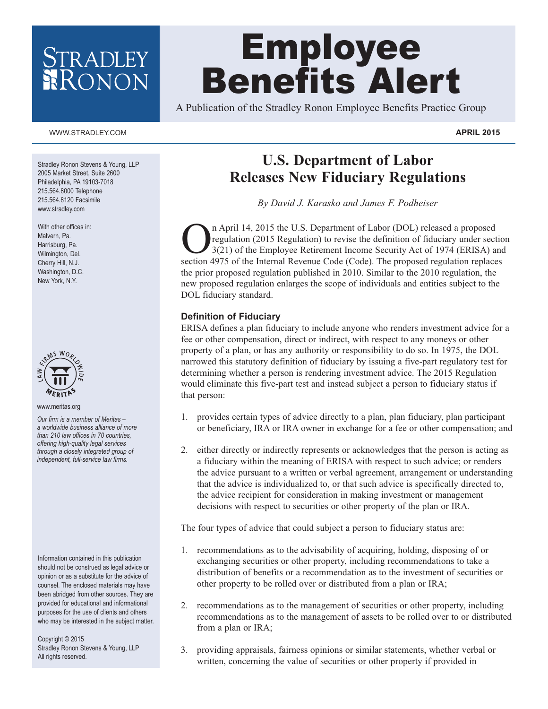# Employee Benefits Alert

A Publication of the Stradley Ronon Employee Benefits Practice Group

#### WWW.STRADLEY.COM **APRIL 2015**

Stradley Ronon Stevens & Young, LLP 2005 Market Street, Suite 2600 Philadelphia, PA 19103-7018 215.564.8000 Telephone 215.564.8120 Facsimile www.stradley.com

With other offices in: Malvern, Pa. Harrisburg, Pa. Wilmington, Del. Cherry Hill, N.J. Washington, D.C. New York, N.Y.



www.meritas.org

*Our firm is a member of Meritas – a worldwide business alliance of more than 210 law offices in 70 countries, offering high-quality legal services through a closely integrated group of independent, full-service law firms.*

Information contained in this publication should not be construed as legal advice or opinion or as a substitute for the advice of counsel. The enclosed materials may have been abridged from other sources. They are provided for educational and informational purposes for the use of clients and others who may be interested in the subject matter.

Copyright © 2015 Stradley Ronon Stevens & Young, LLP All rights reserved.

# **U.S. Department of Labor Releases New Fiduciary Regulations**

*By David J. Karasko and James F. Podheiser*

n April 14, 2015 the U.S. Department of Labor (DOL) released a proposed regulation (2015 Regulation) to revise the definition of fiduciary under section 3(21) of the Employee Retirement Income Security Act of 1974 (ERISA) and section 4975 of the Internal Revenue Code (Code). The proposed regulation replaces the prior proposed regulation published in 2010. Similar to the 2010 regulation, the new proposed regulation enlarges the scope of individuals and entities subject to the DOL fiduciary standard.

#### **Definition of Fiduciary**

ERISA defines a plan fiduciary to include anyone who renders investment advice for a fee or other compensation, direct or indirect, with respect to any moneys or other property of a plan, or has any authority or responsibility to do so. In 1975, the DOL narrowed this statutory definition of fiduciary by issuing a five-part regulatory test for determining whether a person is rendering investment advice. The 2015 Regulation would eliminate this five-part test and instead subject a person to fiduciary status if that person:

- 1. provides certain types of advice directly to a plan, plan fiduciary, plan participant or beneficiary, IRA or IRA owner in exchange for a fee or other compensation; and
- 2. either directly or indirectly represents or acknowledges that the person is acting as a fiduciary within the meaning of ERISA with respect to such advice; or renders the advice pursuant to a written or verbal agreement, arrangement or understanding that the advice is individualized to, or that such advice is specifically directed to, the advice recipient for consideration in making investment or management decisions with respect to securities or other property of the plan or IRA.

The four types of advice that could subject a person to fiduciary status are:

- 1. recommendations as to the advisability of acquiring, holding, disposing of or exchanging securities or other property, including recommendations to take a distribution of benefits or a recommendation as to the investment of securities or other property to be rolled over or distributed from a plan or IRA;
- 2. recommendations as to the management of securities or other property, including recommendations as to the management of assets to be rolled over to or distributed from a plan or IRA;
- 3. providing appraisals, fairness opinions or similar statements, whether verbal or written, concerning the value of securities or other property if provided in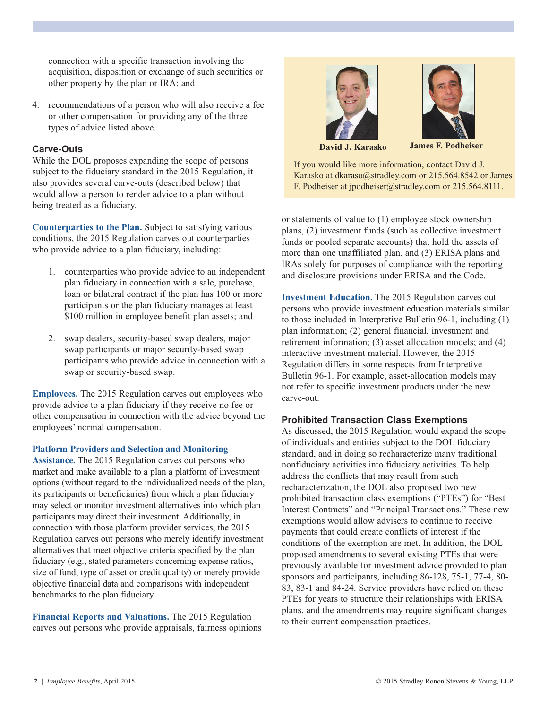connection with a specific transaction involving the acquisition, disposition or exchange of such securities or other property by the plan or IRA; and

4. recommendations of a person who will also receive a fee or other compensation for providing any of the three types of advice listed above.

#### **Carve-Outs**

While the DOL proposes expanding the scope of persons subject to the fiduciary standard in the 2015 Regulation, it also provides several carve-outs (described below) that would allow a person to render advice to a plan without being treated as a fiduciary.

**Counterparties to the Plan.** Subject to satisfying various conditions, the 2015 Regulation carves out counterparties who provide advice to a plan fiduciary, including:

- 1. counterparties who provide advice to an independent plan fiduciary in connection with a sale, purchase, loan or bilateral contract if the plan has 100 or more participants or the plan fiduciary manages at least \$100 million in employee benefit plan assets; and
- 2. swap dealers, security-based swap dealers, major swap participants or major security-based swap participants who provide advice in connection with a swap or security-based swap.

**Employees.** The 2015 Regulation carves out employees who provide advice to a plan fiduciary if they receive no fee or other compensation in connection with the advice beyond the employees' normal compensation.

#### **Platform Providers and Selection and Monitoring**

**Assistance.** The 2015 Regulation carves out persons who market and make available to a plan a platform of investment options (without regard to the individualized needs of the plan, its participants or beneficiaries) from which a plan fiduciary may select or monitor investment alternatives into which plan participants may direct their investment. Additionally, in connection with those platform provider services, the 2015 Regulation carves out persons who merely identify investment alternatives that meet objective criteria specified by the plan fiduciary (e.g., stated parameters concerning expense ratios, size of fund, type of asset or credit quality) or merely provide objective financial data and comparisons with independent benchmarks to the plan fiduciary.

**Financial Reports and Valuations.** The 2015 Regulation carves out persons who provide appraisals, fairness opinions





**David J. Karasko James F. Podheiser**

If you would like more information, contact David J. Karasko at dkaraso@stradley.com or 215.564.8542 or James F. Podheiser at jpodheiser@stradley.com or 215.564.8111.

or statements of value to (1) employee stock ownership plans, (2) investment funds (such as collective investment funds or pooled separate accounts) that hold the assets of more than one unaffiliated plan, and (3) ERISA plans and IRAs solely for purposes of compliance with the reporting and disclosure provisions under ERISA and the Code.

**Investment Education.** The 2015 Regulation carves out persons who provide investment education materials similar to those included in Interpretive Bulletin 96-1, including (1) plan information; (2) general financial, investment and retirement information; (3) asset allocation models; and (4) interactive investment material. However, the 2015 Regulation differs in some respects from Interpretive Bulletin 96-1. For example, asset-allocation models may not refer to specific investment products under the new carve-out.

### **Prohibited Transaction Class Exemptions**

As discussed, the 2015 Regulation would expand the scope of individuals and entities subject to the DOL fiduciary standard, and in doing so recharacterize many traditional nonfiduciary activities into fiduciary activities. To help address the conflicts that may result from such recharacterization, the DOL also proposed two new prohibited transaction class exemptions ("PTEs") for "Best Interest Contracts" and "Principal Transactions." These new exemptions would allow advisers to continue to receive payments that could create conflicts of interest if the conditions of the exemption are met. In addition, the DOL proposed amendments to several existing PTEs that were previously available for investment advice provided to plan sponsors and participants, including 86-128, 75-1, 77-4, 80- 83, 83-1 and 84-24. Service providers have relied on these PTEs for years to structure their relationships with ERISA plans, and the amendments may require significant changes to their current compensation practices.